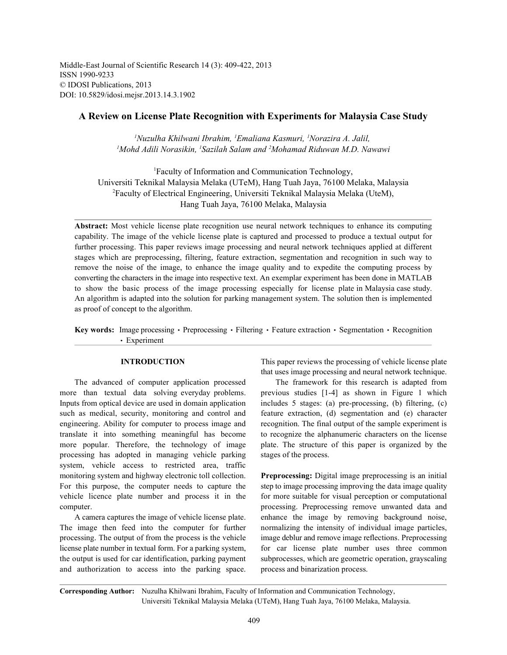Middle-East Journal of Scientific Research 14 (3): 409-422, 2013 ISSN 1990-9233 © IDOSI Publications, 2013 DOI: 10.5829/idosi.mejsr.2013.14.3.1902

## **A Review on License Plate Recognition with Experiments for Malaysia Case Study**

*Nuzulha Khilwani Ibrahim, Emaliana Kasmuri, Norazira A. Jalil, 1 1 1* <sup>1</sup>Mohd Adili Norasikin, <sup>1</sup>Sazilah Salam and <sup>2</sup>Mohamad Riduwan M.D. Nawawi

Faculty of Information and Communication Technology, <sup>1</sup> Universiti Teknikal Malaysia Melaka (UTeM), Hang Tuah Jaya, 76100 Melaka, Malaysia Faculty of Electrical Engineering, Universiti Teknikal Malaysia Melaka (UteM), <sup>2</sup> Hang Tuah Jaya, 76100 Melaka, Malaysia

**Abstract:** Most vehicle license plate recognition use neural network techniques to enhance its computing capability. The image of the vehicle license plate is captured and processed to produce a textual output for further processing. This paper reviews image processing and neural network techniques applied at different stages which are preprocessing, filtering, feature extraction, segmentation and recognition in such way to remove the noise of the image, to enhance the image quality and to expedite the computing process by converting the characters in the image into respective text. An exemplar experiment has been done in MATLAB to show the basic process of the image processing especially for license plate in Malaysia case study. An algorithm is adapted into the solution for parking management system. The solution then is implemented as proof of concept to the algorithm.

Key words: Image processing • Preprocessing • Filtering • Feature extraction • Segmentation • Recognition Experiment

more than textual data solving everyday problems. previous studies [1-4] as shown in Figure 1 which Inputs from optical device are used in domain application includes 5 stages: (a) pre-processing, (b) filtering, (c) such as medical, security, monitoring and control and feature extraction, (d) segmentation and (e) character engineering. Ability for computer to process image and recognition. The final output of the sample experiment is translate it into something meaningful has become to recognize the alphanumeric characters on the license more popular. Therefore, the technology of image plate. The structure of this paper is organized by the processing has adopted in managing vehicle parking stages of the process. system, vehicle access to restricted area, traffic monitoring system and highway electronic toll collection. **Preprocessing:** Digital image preprocessing is an initial For this purpose, the computer needs to capture the step to image processing improving the data image quality vehicle licence plate number and process it in the for more suitable for visual perception or computational computer. processing. Preprocessing remove unwanted data and

The image then feed into the computer for further normalizing the intensity of individual image particles, processing. The output of from the process is the vehicle image deblur and remove image reflections. Preprocessing license plate number in textual form. For a parking system, for car license plate number uses three common the output is used for car identification, parking payment subprocesses, which are geometric operation, grayscaling and authorization to access into the parking space. process and binarization process.

**INTRODUCTION** This paper reviews the processing of vehicle license plate that uses image processing and neural network technique.

The advanced of computer application processed The framework for this research is adapted from

A camera captures the image of vehicle license plate. enhance the image by removing background noise,

**Corresponding Author:** Nuzulha Khilwani Ibrahim, Faculty of Information and Communication Technology, Universiti Teknikal Malaysia Melaka (UTeM), Hang Tuah Jaya, 76100 Melaka, Malaysia.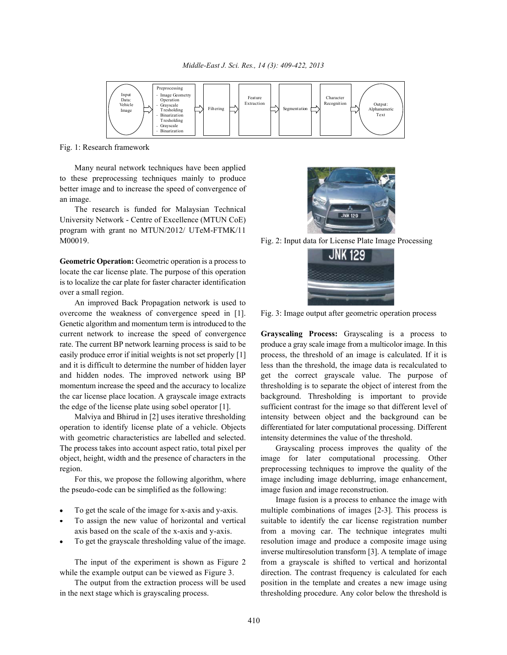

Fig. 1: Research framework

Many neural network techniques have been applied to these preprocessing techniques mainly to produce better image and to increase the speed of convergence of an image.

The research is funded for Malaysian Technical University Network - Centre of Excellence (MTUN CoE) program with grant no MTUN/2012/ UTeM-FTMK/11 M00019. Fig. 2: Input data for License Plate Image Processing

**Geometric Operation:** Geometric operation is a process to locate the car license plate. The purpose of this operation is to localize the car plate for faster character identification over a small region.

An improved Back Propagation network is used to overcome the weakness of convergence speed in [1]. Fig. 3: Image output after geometric operation process Genetic algorithm and momentum term is introduced to the current network to increase the speed of convergence **Grayscaling Process:** Grayscaling is a process to

with geometric characteristics are labelled and selected. intensity determines the value of the threshold. The process takes into account aspect ratio, total pixel per Grayscaling process improves the quality of the

the pseudo-code can be simplified as the following: image fusion and image reconstruction.

- 
- 
- 





rate. The current BP network learning process is said to be produce a gray scale image from a multicolor image. In this easily produce error if initial weights is not set properly [1] process, the threshold of an image is calculated. If it is and it is difficult to determine the number of hidden layer less than the threshold, the image data is recalculated to and hidden nodes. The improved network using BP get the correct grayscale value. The purpose of momentum increase the speed and the accuracy to localize thresholding is to separate the object of interest from the the car license place location. A grayscale image extracts background. Thresholding is important to provide the edge of the license plate using sobel operator [1]. sufficient contrast for the image so that different level of Malviya and Bhirud in [2] uses iterative thresholding intensity between object and the background can be operation to identify license plate of a vehicle. Objects differentiated for later computational processing. Different

object, height, width and the presence of characters in the image for later computational processing. Other region. preprocessing techniques to improve the quality of the For this, we propose the following algorithm, where image including image deblurring, image enhancement,

To get the scale of the image for x-axis and y-axis. multiple combinations of images [2-3]. This process is To assign the new value of horizontal and vertical suitable to identify the car license registration number axis based on the scale of the x-axis and y-axis. from a moving car. The technique integrates multi To get the grayscale thresholding value of the image. resolution image and produce a composite image using The input of the experiment is shown as Figure 2 from a grayscale is shifted to vertical and horizontal while the example output can be viewed as Figure 3. direction. The contrast frequency is calculated for each The output from the extraction process will be used position in the template and creates a new image using in the next stage which is grayscaling process. thresholding procedure. Any color below the threshold is Image fusion is a process to enhance the image with inverse multiresolution transform [3]. A template of image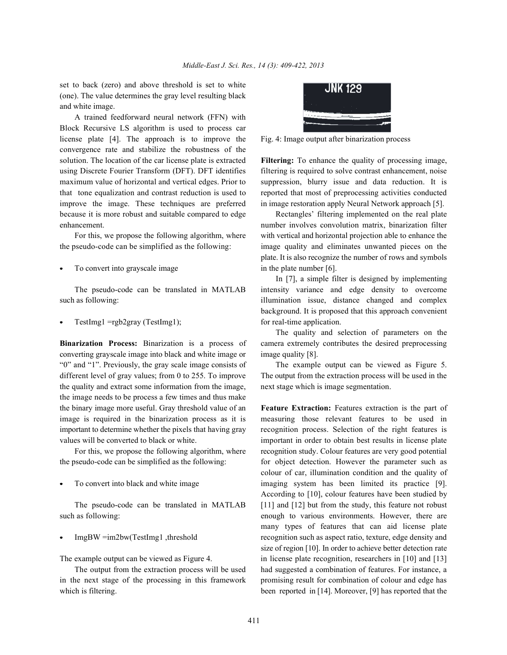set to back (zero) and above threshold is set to white (one). The value determines the gray level resulting black and white image.

A trained feedforward neural network (FFN) with Block Recursive LS algorithm is used to process car license plate [4]. The approach is to improve the Fig. 4: Image output after binarization process convergence rate and stabilize the robustness of the solution. The location of the car license plate is extracted **Filtering:** To enhance the quality of processing image, using Discrete Fourier Transform (DFT). DFT identifies filtering is required to solve contrast enhancement, noise maximum value of horizontal and vertical edges. Prior to suppression, blurry issue and data reduction. It is that tone equalization and contrast reduction is used to reported that most of preprocessing activities conducted improve the image. These techniques are preferred in image restoration apply Neural Network approach [5]. because it is more robust and suitable compared to edge Rectangles' filtering implemented on the real plate enhancement. **number involves convolution matrix**, binarization filter

the pseudo-code can be simplified as the following: image quality and eliminates unwanted pieces on the

To convert into grayscale image in the plate number [6].

such as following: illumination issue, distance changed and complex

TestImg1 =rgb2gray (TestImg1); for real-time application.

converting grayscale image into black and white image or image quality [8]. "0" and "1". Previously, the gray scale image consists of The example output can be viewed as Figure 5. different level of gray values; from 0 to 255. To improve The output from the extraction process will be used in the the quality and extract some information from the image, next stage which is image segmentation. the image needs to be process a few times and thus make the binary image more useful. Gray threshold value of an **Feature Extraction:** Features extraction is the part of image is required in the binarization process as it is measuring those relevant features to be used in important to determine whether the pixels that having gray recognition process. Selection of the right features is values will be converted to black or white. important in order to obtain best results in license plate

the pseudo-code can be simplified as the following: for object detection. However the parameter such as

such as following: enough to various environments. However, there are



For this, we propose the following algorithm, where with vertical and horizontal projection able to enhance the plate. It is also recognize the number of rows and symbols

The pseudo-code can be translated in MATLAB intensity variance and edge density to overcome In [7], a simple filter is designed by implementing background. It is proposed that this approach convenient

**Binarization Process:** Binarization is a process of camera extremely contributes the desired preprocessing The quality and selection of parameters on the

For this, we propose the following algorithm, where recognition study. Colour features are very good potential To convert into black and white image imaging system has been limited its practice [9]. The pseudo-code can be translated in MATLAB [11] and [12] but from the study, this feature not robust ImgBW =im2bw(TestImg1 ,threshold recognition such as aspect ratio, texture, edge density and The example output can be viewed as Figure 4. in license plate recognition, researchers in [10] and [13] The output from the extraction process will be used had suggested a combination of features. For instance, a in the next stage of the processing in this framework promising result for combination of colour and edge has which is filtering. been reported in [14]. Moreover, [9] has reported that the colour of car, illumination condition and the quality of According to [10], colour features have been studied by many types of features that can aid license plate size of region [10]. In order to achieve better detection rate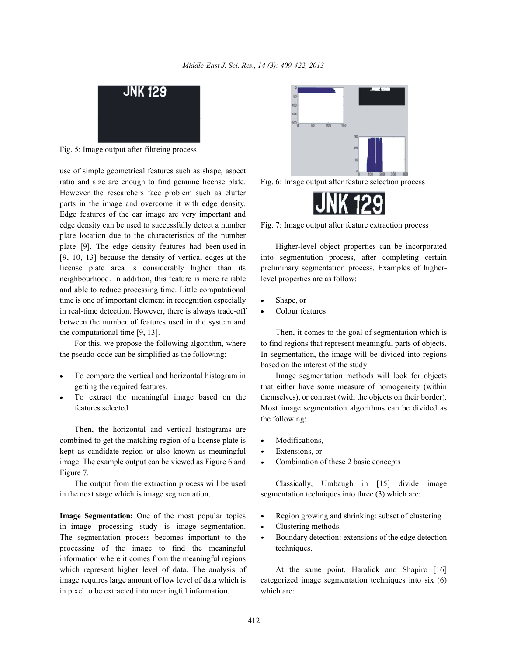

Fig. 5: Image output after filtreing process

use of simple geometrical features such as shape, aspect ratio and size are enough to find genuine license plate. Fig. 6: Image output after feature selection process However the researchers face problem such as clutter parts in the image and overcome it with edge density. Edge features of the car image are very important and edge density can be used to successfully detect a number Fig. 7: Image output after feature extraction process plate location due to the characteristics of the number plate [9]. The edge density features had been used in Higher-level object properties can be incorporated neighbourhood. In addition, this feature is more reliable level properties are as follow: and able to reduce processing time. Little computational time is one of important element in recognition especially • Shape, or in real-time detection. However, there is always trade-off  $\bullet$  Colour features between the number of features used in the system and the computational time [9, 13]. Then, it comes to the goal of segmentation which is

- 
- 

Then, the horizontal and vertical histograms are combined to get the matching region of a license plate is • Modifications, kept as candidate region or also known as meaningful • Extensions, or image. The example output can be viewed as Figure 6 and Combination of these 2 basic concepts Figure 7.

in the next stage which is image segmentation. segmentation techniques into three (3) which are:

in image processing study is image segmentation.  $\bullet$  Clustering methods. The segmentation process becomes important to the • Boundary detection: extensions of the edge detection processing of the image to find the meaningful techniques. information where it comes from the meaningful regions which represent higher level of data. The analysis of At the same point, Haralick and Shapiro [16] image requires large amount of low level of data which is categorized image segmentation techniques into six (6) in pixel to be extracted into meaningful information. which are:





[9, 10, 13] because the density of vertical edges at the into segmentation process, after completing certain license plate area is considerably higher than its preliminary segmentation process. Examples of higher-

- 
- 

For this, we propose the following algorithm, where to find regions that represent meaningful parts of objects. the pseudo-code can be simplified as the following: In segmentation, the image will be divided into regions based on the interest of the study.

To compare the vertical and horizontal histogram in Image segmentation methods will look for objects getting the required features. that either have some measure of homogeneity (within To extract the meaningful image based on the themselves), or contrast (with the objects on their border). features selected Most image segmentation algorithms can be divided as the following:

- 
- 
- 

The output from the extraction process will be used Classically, Umbaugh in [15] divide image

- **Image Segmentation:** One of the most popular topics Region growing and shrinking: subset of clustering
	-
	-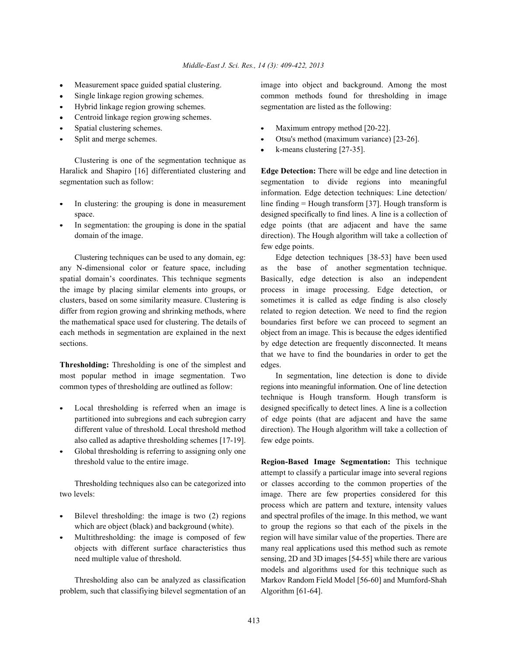- 
- 
- 
- Centroid linkage region growing schemes.
- 
- 

Clustering is one of the segmentation technique as Haralick and Shapiro [16] differentiated clustering and **Edge Detection:** There will be edge and line detection in segmentation such as follow: segmentation to divide regions into meaningful

- 
- 

any N-dimensional color or feature space, including as the base of another segmentation technique. the image by placing similar elements into groups, or process in image processing. Edge detection, or the mathematical space used for clustering. The details of boundaries first before we can proceed to segment an each methods in segmentation are explained in the next object from an image. This is because the edges identified sections. by edge detection are frequently disconnected. It means

**Thresholding:** Thresholding is one of the simplest and edges. most popular method in image segmentation. Two In segmentation, line detection is done to divide

- also called as adaptive thresholding schemes [17-19]. few edge points.
- Global thresholding is referring to assigning only one

- 
- 

problem, such that classifiying bilevel segmentation of an Algorithm [61-64].

Measurement space guided spatial clustering. image into object and background. Among the most Single linkage region growing schemes. common methods found for thresholding in image Hybrid linkage region growing schemes. segmentation are listed as the following:

- Spatial clustering schemes.  $\bullet$  Maximum entropy method [20-22].
- Split and merge schemes. Otsu's method (maximum variance) [23-26].
	- k-means clustering [27-35].

In clustering: the grouping is done in measurement line finding = Hough transform [37]. Hough transform is space.  $\qquad \qquad$  designed specifically to find lines. A line is a collection of In segmentation: the grouping is done in the spatial edge points (that are adjacent and have the same domain of the image. direction). The Hough algorithm will take a collection of information. Edge detection techniques: Line detection/ few edge points.

Clustering techniques can be used to any domain, eg: Edge detection techniques [38-53] have been used spatial domain's coordinates. This technique segments Basically, edge detection is also an independent clusters, based on some similarity measure. Clustering is sometimes it is called as edge finding is also closely differ from region growing and shrinking methods, where related to region detection. We need to find the region that we have to find the boundaries in order to get the

common types of thresholding are outlined as follow: regions into meaningful information. One of line detection Local thresholding is referred when an image is designed specifically to detect lines. A line is a collection partitioned into subregions and each subregion carry of edge points (that are adjacent and have the same different value of threshold. Local threshold method direction). The Hough algorithm will take a collection of technique is Hough transform. Hough transform is

threshold value to the entire image. **Region-Based Image Segmentation:** This technique Thresholding techniques also can be categorized into or classes according to the common properties of the two levels: image. There are few properties considered for this Bilevel thresholding: the image is two (2) regions and spectral profiles of the image. In this method, we want which are object (black) and background (white). to group the regions so that each of the pixels in the Multithresholding: the image is composed of few region will have similar value of the properties. There are objects with different surface characteristics thus many real applications used this method such as remote need multiple value of threshold. sensing, 2D and 3D images [54-55] while there are various Thresholding also can be analyzed as classification Markov Random Field Model [56-60] and Mumford-Shah attempt to classify a particular image into several regions process which are pattern and texture, intensity values models and algorithms used for this technique such as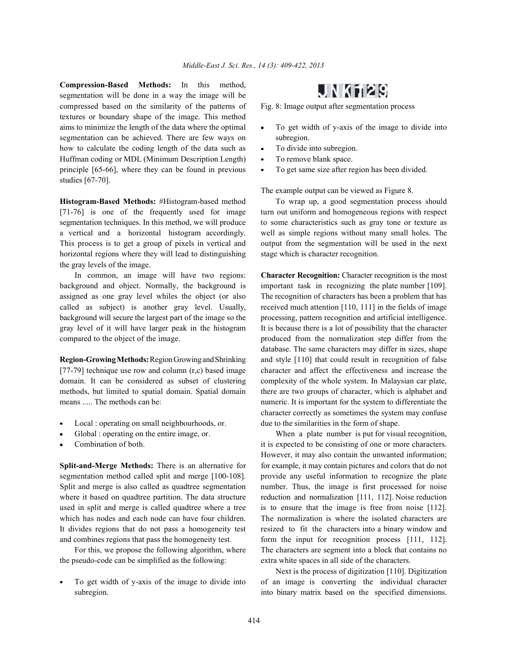**Compression-Based Methods:** In this method, segmentation will be done in a way the image will be compressed based on the similarity of the patterns of Fig. 8: Image output after segmentation process textures or boundary shape of the image. This method aims to minimize the length of the data where the optimal  $\bullet$  To get width of y-axis of the image to divide into segmentation can be achieved. There are few ways on subregion. how to calculate the coding length of the data such as  $\bullet$  To divide into subregion. Huffman coding or MDL (Minimum Description Length) • To remove blank space. principle  $[65-66]$ , where they can be found in previous  $\bullet$  To get same size after region has been divided. studies [67-70].

**Histogram-Based Methods:** #Histogram-based method To wrap up, a good segmentation process should [71-76] is one of the frequently used for image turn out uniform and homogeneous regions with respect segmentation techniques. In this method, we will produce to some characteristics such as gray tone or texture as a vertical and a horizontal histogram accordingly. well as simple regions without many small holes. The This process is to get a group of pixels in vertical and output from the segmentation will be used in the next horizontal regions where they will lead to distinguishing stage which is character recognition. the gray levels of the image.

background and object. Normally, the background is important task in recognizing the plate number [109]. assigned as one gray level whiles the object (or also The recognition of characters has been a problem that has called as subject) is another gray level. Usually, received much attention [110, 111] in the fields of image background will secure the largest part of the image so the processing, pattern recognition and artificial intelligence. gray level of it will have larger peak in the histogram It is because there is a lot of possibility that the character compared to the object of the image. produced from the normalization step differ from the

[77-79] technique use row and column  $(r, c)$  based image character and affect the effectiveness and increase the domain. It can be considered as subset of clustering complexity of the whole system. In Malaysian car plate, methods, but limited to spatial domain. Spatial domain there are two groups of character, which is alphabet and means ..... The methods can be: numeric. It is important for the system to differentiate the

- Local : operating on small neighbourhoods, or. due to the similarities in the form of shape.
- 
- 

segmentation method called split and merge [100-108]. provide any useful information to recognize the plate Split and merge is also called as quadtree segmentation number. Thus, the image is first processed for noise where it based on quadtree partition. The data structure reduction and normalization [111, 112]. Noise reduction used in split and merge is called quadtree where a tree is to ensure that the image is free from noise [112]. which has nodes and each node can have four children. The normalization is where the isolated characters are It divides regions that do not pass a homogeneity test resized to fit the characters into a binary window and and combines regions that pass the homogeneity test. form the input for recognition process [111, 112].

the pseudo-code can be simplified as the following: extra white spaces in all side of the characters.

# JN K129

- 
- 
- 
- 

The example output can be viewed as Figure 8.

In common, an image will have two regions: **Character Recognition:** Character recognition is the most **Region-Growing Methods:**Region Growing and Shrinking and style [110] that could result in recognition of false database. The same characters may differ in sizes, shape character correctly as sometimes the system may confuse

Global : operating on the entire image, or. When a plate number is put for visual recognition, Combination of both. it is expected to be consisting of one or more characters. **Split-and-Merge Methods:** There is an alternative for for example, it may contain pictures and colors that do not For this, we propose the following algorithm, where The characters are segment into a block that contains no However, it may also contain the unwanted information;

To get width of y-axis of the image to divide into of an image is converting the individual character subregion. **into binary matrix based on the specified dimensions.** Next is the process of digitization [110]. Digitization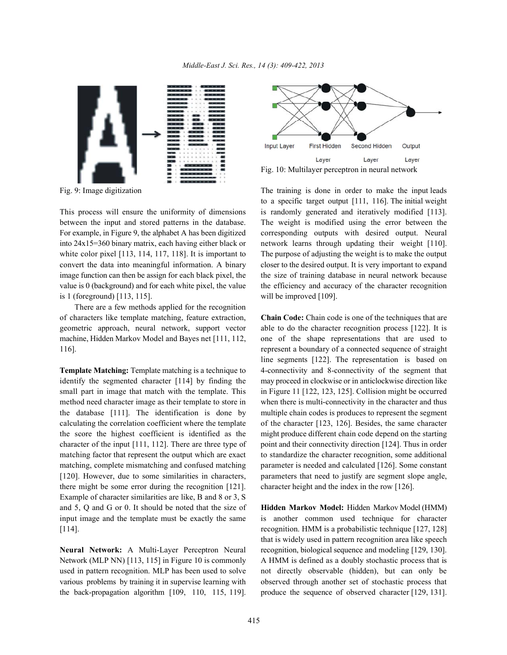

between the input and stored patterns in the database. The weight is modified using the error between the For example, in Figure 9, the alphabet A has been digitized corresponding outputs with desired output. Neural into 24x15=360 binary matrix, each having either black or network learns through updating their weight [110]. white color pixel [113, 114, 117, 118]. It is important to The purpose of adjusting the weight is to make the output convert the data into meaningful information. A binary closer to the desired output. It is very important to expand image function can then be assign for each black pixel, the the size of training database in neural network because value is  $\theta$  (background) and for each white pixel, the value the efficiency and accuracy of the character recognition is 1 (foreground) [113, 115]. will be improved [109].

There are a few methods applied for the recognition of characters like template matching, feature extraction, **Chain Code:** Chain code is one of the techniques that are geometric approach, neural network, support vector able to do the character recognition process [122]. It is machine, Hidden Markov Model and Bayes net [111, 112, one of the shape representations that are used to 116]. represent a boundary of a connected sequence of straight

identify the segmented character [114] by finding the may proceed in clockwise or in anticlockwise direction like small part in image that match with the template. This in Figure 11 [122, 123, 125]. Collision might be occurred method need character image as their template to store in when there is multi-connectivity in the character and thus the database [111]. The identification is done by multiple chain codes is produces to represent the segment calculating the correlation coefficient where the template of the character [123, 126]. Besides, the same character the score the highest coefficient is identified as the might produce different chain code depend on the starting character of the input  $[111, 112]$ . There are three type of point and their connectivity direction  $[124]$ . Thus in order matching factor that represent the output which are exact to standardize the character recognition, some additional matching, complete mismatching and confused matching parameter is needed and calculated [126]. Some constant [120]. However, due to some similarities in characters, parameters that need to justify are segment slope angle, there might be some error during the recognition [121]. character height and the index in the row [126]. Example of character similarities are like, B and 8 or 3, S and 5, Q and G or 0. It should be noted that the size of **Hidden Markov Model:** Hidden Markov Model (HMM) input image and the template must be exactly the same is another common used technique for character [114]. recognition. HMM is a probabilistic technique [127, 128]

Network (MLP NN) [113, 115] in Figure 10 is commonly A HMM is defined as a doubly stochastic process that is used in pattern recognition. MLP has been used to solve not directly observable (hidden), but can only be various problems by training it in supervise learning with observed through another set of stochastic process that the back-propagation algorithm [109, 110, 115, 119]. produce the sequence of observed character [129, 131].



Fig. 10: Multilayer perceptron in neural network

Fig. 9: Image digitization The training is done in order to make the input leads This process will ensure the uniformity of dimensions is randomly generated and iteratively modified [113]. to a specific target output [111, 116]. The initial weight

**Template Matching:** Template matching is a technique to 4-connectivity and 8-connectivity of the segment that line segments [122]. The representation is based on

**Neural Network:** A Multi-Layer Perceptron Neural recognition, biological sequence and modeling [129, 130]. that is widely used in pattern recognition area like speech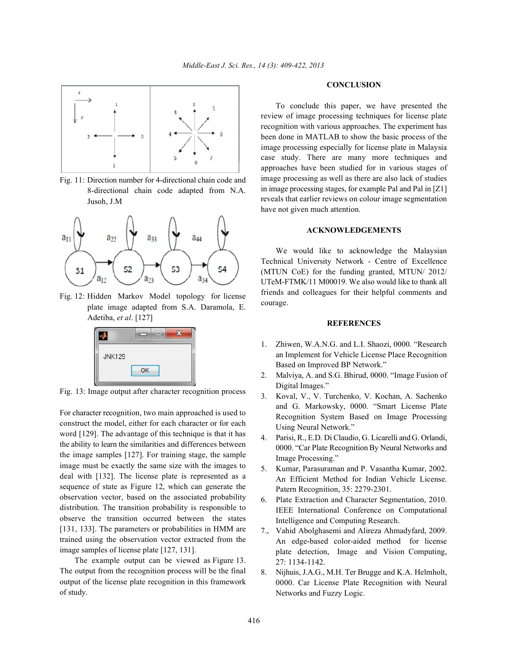

Fig. 11: Direction number for 4-directional chain code and 8-directional chain code adapted from N.A. Jusoh, J.M



Fig. 12: Hidden Markov Model topology for license plate image adapted from S.A. Daramola, E. Adetiba, *et al*. [127]



Fig. 13: Image output after character recognition process

For character recognition, two main approached is used to construct the model, either for each character or for each word [129]. The advantage of this technique is that it has the ability to learn the similarities and differences between the image samples [127]. For training stage, the sample image must be exactly the same size with the images to deal with [132]. The license plate is represented as a sequence of state as Figure 12, which can generate the observation vector, based on the associated probability distribution. The transition probability is responsible to observe the transition occurred between the states [131, 133]. The parameters or probabilities in HMM are trained using the observation vector extracted from the image samples of license plate [127, 131].

The example output can be viewed as Figure 13. The output from the recognition process will be the final output of the license plate recognition in this framework of study.

#### **CONCLUSION**

To conclude this paper, we have presented the review of image processing techniques for license plate recognition with various approaches. The experiment has been done in MATLAB to show the basic process of the image processing especially for license plate in Malaysia case study. There are many more techniques and approaches have been studied for in various stages of image processing as well as there are also lack of studies in image processing stages, for example Pal and Pal in [Z1] reveals that earlier reviews on colour image segmentation have not given much attention.

### **ACKNOWLEDGEMENTS**

We would like to acknowledge the Malaysian Technical University Network - Centre of Excellence (MTUN CoE) for the funding granted, MTUN/ 2012/ UTeM-FTMK/11 M00019. We also would like to thank all friends and colleagues for their helpful comments and courage.

#### **REFERENCES**

- 1. Zhiwen, W.A.N.G. and L.I. Shaozi, 0000. "Research an Implement for Vehicle License Place Recognition Based on Improved BP Network."
- 2. Malviya, A. and S.G. Bhirud, 0000. "Image Fusion of Digital Images."
- 3. Koval, V., V. Turchenko, V. Kochan, A. Sachenko and G. Markowsky, 0000. "Smart License Plate Recognition System Based on Image Processing Using Neural Network."
- 4. Parisi, R., E.D. Di Claudio, G. Licarelli and G. Orlandi, 0000. "Car Plate Recognition By Neural Networks and Image Processing."
- 5. Kumar, Parasuraman and P. Vasantha Kumar, 2002. An Efficient Method for Indian Vehicle License. Patern Recognition, 35: 2279-2301.
- 6. Plate Extraction and Character Segmentation, 2010. IEEE International Conference on Computational Intelligence and Computing Research.
- 7., Vahid Abolghasemi and Alireza Ahmadyfard, 2009. An edge-based color-aided method for license plate detection, Image and Vision Computing, 27: 1134-1142.
- 8. Nijhuis, J.A.G., M.H. Ter Brugge and K.A. Helmholt, 0000. Car License Plate Recognition with Neural Networks and Fuzzy Logic.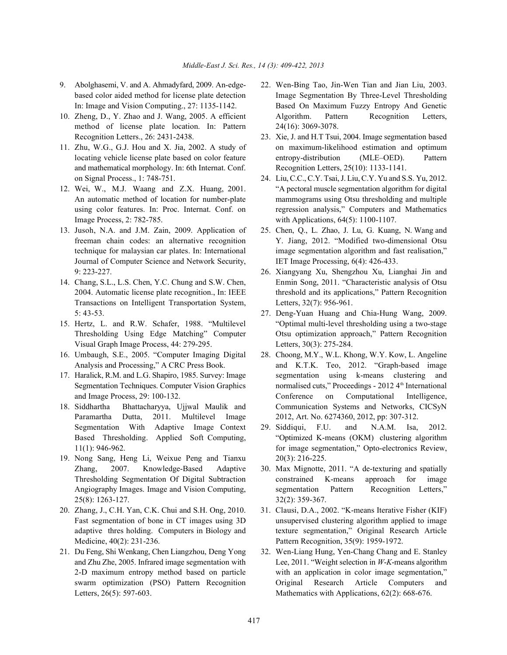- 
- method of license plate location. In: Pattern 24(16): 3069-3078.
- and mathematical morphology. In: 6th Internat. Conf. Recognition Letters, 25(10): 1133-1141. on Signal Process., 1: 748-751. 24. Liu, C.C., C.Y. Tsai, J. Liu, C.Y. Yu and S.S. Yu, 2012.
- Image Process, 2: 782-785. with Applications, 64(5): 1100-1107.
- 13. Jusoh, N.A. and J.M. Zain, 2009. Application of 25. Chen, Q., L. Zhao, J. Lu, G. Kuang, N. Wang and Journal of Computer Science and Network Security, IET Image Processing, 6(4): 426-433. 9: 223-227. 26. Xiangyang Xu, Shengzhou Xu, Lianghai Jin and
- Transactions on Intelligent Transportation System, Letters, 32(7): 956-961. 5: 43-53. 27. Deng-Yuan Huang and Chia-Hung Wang, 2009.
- Visual Graph Image Process, 44: 279-295. Letters, 30(3): 275-284.
- 16. Umbaugh, S.E., 2005. "Computer Imaging Digital 28. Choong, M.Y., W.L. Khong, W.Y. Kow, L. Angeline
- 
- Paramartha Dutta, 2011. Multilevel Image 2012, Art. No. 6274360, 2012, pp: 307-312.
- 19. Nong Sang, Heng Li, Weixue Peng and Tianxu 20(3): 216-225. Zhang, 2007. Knowledge-Based Adaptive 30. Max Mignotte, 2011. "A de-texturing and spatially 25(8): 1263-127. 32(2): 359-367.
- Medicine, 40(2): 231-236. Pattern Recognition, 35(9): 1959-1972.
- 
- 9. Abolghasemi, V. and A. Ahmadyfard, 2009. An-edge- 22. Wen-Bing Tao, Jin-Wen Tian and Jian Liu, 2003. based color aided method for license plate detection Image Segmentation By Three-Level Thresholding In: Image and Vision Computing., 27: 1135-1142. Based On Maximum Fuzzy Entropy And Genetic 10. Zheng, D., Y. Zhao and J. Wang, 2005. A efficient Algorithm. Pattern Recognition Letters,
- Recognition Letters., 26: 2431-2438. 23. Xie, J. and H.T Tsui, 2004. Image segmentation based 11. Zhu, W.G., G.J. Hou and X. Jia, 2002. A study of on maximum-likelihood estimation and optimum locating vehicle license plate based on color feature entropy-distribution (MLE–OED). Pattern
- 12. Wei, W., M.J. Waang and Z.X. Huang, 2001. "A pectoral muscle segmentation algorithm for digital An automatic method of location for number-plate mammograms using Otsu thresholding and multiple using color features. In: Proc. Internat. Conf. on regression analysis," Computers and Mathematics
	- freeman chain codes: an alternative recognition Y. Jiang, 2012. "Modified two-dimensional Otsu technique for malaysian car plates. In: International image segmentation algorithm and fast realisation,"
- 14. Chang, S.L., L.S. Chen, Y.C. Chung and S.W. Chen, Enmin Song, 2011. "Characteristic analysis of Otsu 2004. Automatic license plate recognition., In: IEEE threshold and its applications," Pattern Recognition
- 15. Hertz, L. and R.W. Schafer, 1988. "Multilevel "Optimal multi-level thresholding using a two-stage Thresholding Using Edge Matching" Computer Otsu optimization approach," Pattern Recognition
- Analysis and Processing," A CRC Press Book. and K.T.K. Teo, 2012. "Graph-based image 17. Haralick, R.M. and L.G. Shapiro, 1985. Survey: Image segmentation using k-means clustering and Segmentation Techniques. Computer Vision Graphics normalised cuts," Proceedings - 2012 4th International and Image Process, 29: 100-132. Conference on Computational Intelligence, 18. Siddhartha Bhattacharyya, Ujjwal Maulik and Communication Systems and Networks, CICSyN
	- Segmentation With Adaptive Image Context 29. Siddiqui, F.U. and N.A.M. Isa, 2012. Based Thresholding. Applied Soft Computing, "Optimized K-means (OKM) clustering algorithm 11(1): 946-962. for image segmentation," Opto-electronics Review,
	- Thresholding Segmentation Of Digital Subtraction constrained K-means approach for image Angiography Images. Image and Vision Computing, segmentation Pattern Recognition Letters,"
- 20. Zhang, J., C.H. Yan, C.K. Chui and S.H. Ong, 2010. 31. Clausi, D.A., 2002. "K-means Iterative Fisher (KIF) Fast segmentation of bone in CT images using 3D unsupervised clustering algorithm applied to image adaptive thres holding. Computers in Biology and texture segmentation," Original Research Article
- 21. Du Feng, Shi Wenkang, Chen Liangzhou, Deng Yong 32. Wen-Liang Hung, Yen-Chang Chang and E. Stanley and Zhu Zhe, 2005. Infrared image segmentation with Lee, 2011. "Weight selection in *W*-*K*-means algorithm 2-D maximum entropy method based on particle with an application in color image segmentation," swarm optimization (PSO) Pattern Recognition Original Research Article Computers and Letters, 26(5): 597-603. Mathematics with Applications, 62(2): 668-676.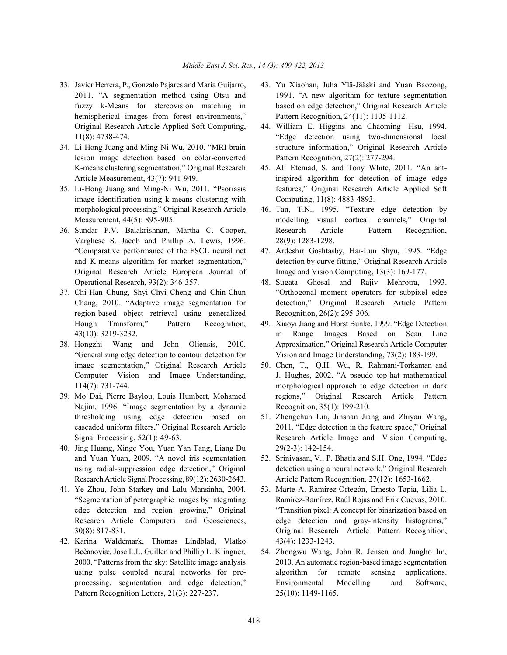- hemispherical images from forest environments," Pattern Recognition, 24(11): 1105-1112.
- lesion image detection based on color-converted Pattern Recognition, 27(2): 277-294. K-means clustering segmentation," Original Research 45. Ali Etemad, S. and Tony White, 2011. "An ant-
- image identification using k-means clustering with Computing, 11(8): 4883-4893. morphological processing," Original Research Article 46. Tan, T.N., 1995. "Texture edge detection by
- Varghese S. Jacob and Phillip A. Lewis, 1996. 28(9): 1283-1298. "Comparative performance of the FSCL neural net 47. Ardeshir Goshtasby, Hai-Lun Shyu, 1995. "Edge Original Research Article European Journal of Image and Vision Computing, 13(3): 169-177. Operational Research, 93(2): 346-357. 48. Sugata Ghosal and Rajiv Mehrotra, 1993.
- region-based object retrieval using generalized Recognition, 26(2): 295-306. Hough Transform," Pattern Recognition, 49. Xiaoyi Jiang and Horst Bunke, 1999. "Edge Detection
- image segmentation," Original Research Article 50. Chen, T., Q.H. Wu, R. Rahmani-Torkaman and
- Najim, 1996. "Image segmentation by a dynamic Recognition, 35(1): 199-210.
- 40. Jing Huang, Xinge You, Yuan Yan Tang, Liang Du 29(2-3): 142-154. and Yuan Yuan, 2009. "A novel iris segmentation 52. Srinivasan, V., P. Bhatia and S.H. Ong, 1994. "Edge Research Article SignalProcessing, 89(12): 2630-2643. Article Pattern Recognition, 27(12): 1653-1662.
- 
- 42. Karina Waldemark, Thomas Lindblad, Vlatko 43(4): 1233-1243. Beèanoviæ, Jose L.L. Guillen and Phillip L. Klingner, 54. Zhongwu Wang, John R. Jensen and Jungho Im, Pattern Recognition Letters, 21(3): 227-237. 25(10): 1149-1165.
- 33. Javier Herrera, P., Gonzalo Pajares and María Guijarro, 43. Yu Xiaohan, Juha Ylä-Jääski and Yuan Baozong, 2011. "A segmentation method using Otsu and 1991. "A new algorithm for texture segmentation fuzzy k-Means for stereovision matching in based on edge detection," Original Research Article
- Original Research Article Applied Soft Computing, 44. William E. Higgins and Chaoming Hsu, 1994. 11(8): 4738-474. "Edge detection using two-dimensional local 34. Li-Hong Juang and Ming-Ni Wu, 2010. "MRI brain structure information," Original Research Article
- Article Measurement, 43(7): 941-949. inspired algorithm for detection of image edge 35. Li-Hong Juang and Ming-Ni Wu, 2011. "Psoriasis features," Original Research Article Applied Soft
- Measurement, 44(5): 895-905. modelling visual cortical channels," Original 36. Sundar P.V. Balakrishnan, Martha C. Cooper, Research Article Pattern Recognition,
	- and K-means algorithm for market segmentation," detection by curve fitting," Original Research Article
- 37. Chi-Han Chung, Shyi-Chyi Cheng and Chin-Chun "Orthogonal moment operators for subpixel edge Chang, 2010. "Adaptive image segmentation for detection," Original Research Article Pattern
- 43(10): 3219-3232. in Range Images Based on Scan Line 38. Hongzhi Wang and John Oliensis, 2010. Approximation," Original Research Article Computer "Generalizing edge detection to contour detection for Vision and Image Understanding, 73(2): 183-199.
- Computer Vision and Image Understanding, J. Hughes, 2002. "A pseudo top-hat mathematical 114(7): 731-744. morphological approach to edge detection in dark 39. Mo Dai, Pierre Baylou, Louis Humbert, Mohamed regions," Original Research Article Pattern
	- thresholding using edge detection based on 51. Zhengchun Lin, Jinshan Jiang and Zhiyan Wang, cascaded uniform filters," Original Research Article 2011. "Edge detection in the feature space," Original Signal Processing, 52(1): 49-63. Research Article Image and Vision Computing,
	- using radial-suppression edge detection," Original detection using a neural network," Original Research
- 41. Ye Zhou, John Starkey and Lalu Mansinha, 2004. 53. Marte A. Ramírez-Ortegón, Ernesto Tapia, Lilia L. "Segmentation of petrographic images by integrating Ramírez-Ramírez, Raúl Rojas and Erik Cuevas, 2010. edge detection and region growing," Original "Transition pixel: A concept for binarization based on Research Article Computers and Geosciences, edge detection and gray-intensity histograms," 30(8): 817-831. Original Research Article Pattern Recognition,
	- 2000. "Patterns from the sky: Satellite image analysis 2010. An automatic region-based image segmentation using pulse coupled neural networks for pre- algorithm for remote sensing applications. processing, segmentation and edge detection," Environmental Modelling and Software,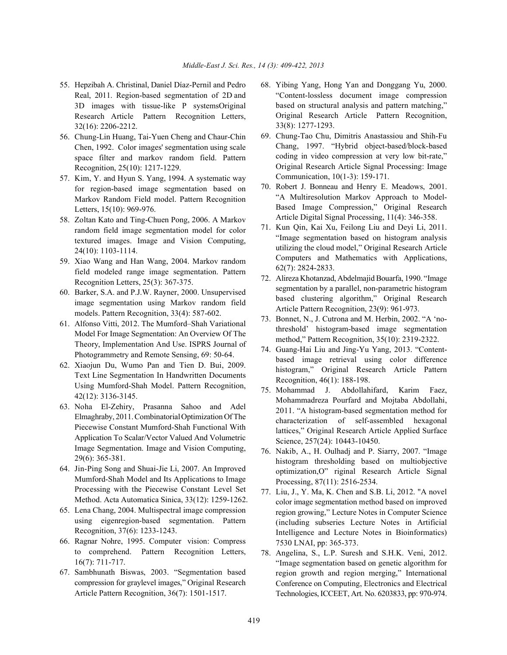- Real, 2011. Region-based segmentation of 2D and 3D images with tissue-like P systemsOriginal Research Article Pattern Recognition Letters, 32(16): 2206-2212.
- 56. Chung-Lin Huang, Tai-Yuen Cheng and Chaur-Chin Chen, 1992. Color images' segmentation using scale space filter and markov random field. Pattern Recognition, 25(10): 1217-1229.
- 57. Kim, Y. and Hyun S. Yang, 1994. A systematic way for region-based image segmentation based on Markov Random Field model. Pattern Recognition Letters, 15(10): 969-976.
- 58. Zoltan Kato and Ting-Chuen Pong, 2006. A Markov random field image segmentation model for color textured images. Image and Vision Computing, 24(10): 1103-1114.
- 59. Xiao Wang and Han Wang, 2004. Markov random field modeled range image segmentation. Pattern Recognition Letters, 25(3): 367-375.
- 60. Barker, S.A. and P.J.W. Rayner, 2000. Unsupervised image segmentation using Markov random field models. Pattern Recognition, 33(4): 587-602.
- 61. Alfonso Vitti, 2012. The Mumford–Shah Variational Model For Image Segmentation: An Overview Of The Theory, Implementation And Use. ISPRS Journal of Photogrammetry and Remote Sensing, 69: 50-64.
- 62. Xiaojun Du, Wumo Pan and Tien D. Bui, 2009. Text Line Segmentation In Handwritten Documents Using Mumford-Shah Model. Pattern Recognition, 42(12): 3136-3145.
- 63. Noha El-Zehiry, Prasanna Sahoo and Adel Elmaghraby, 2011. CombinatorialOptimization Of The Piecewise Constant Mumford-Shah Functional With Application To Scalar/Vector Valued And Volumetric Image Segmentation. Image and Vision Computing, 29(6): 365-381.
- 64. Jin-Ping Song and Shuai-Jie Li, 2007. An Improved Mumford-Shah Model and Its Applications to Image Processing with the Piecewise Constant Level Set Method. Acta Automatica Sinica, 33(12): 1259-1262.
- 65. Lena Chang, 2004. Multispectral image compression using eigenregion-based segmentation. Pattern Recognition, 37(6): 1233-1243.
- 66. Ragnar Nohre, 1995. Computer vision: Compress to comprehend. Pattern Recognition Letters, 16(7): 711-717.
- 67. Sambhunath Biswas, 2003. "Segmentation based compression for graylevel images," Original Research Article Pattern Recognition, 36(7): 1501-1517.
- 55. Hepzibah A. Christinal, Daniel Díaz-Pernil and Pedro 68. Yibing Yang, Hong Yan and Donggang Yu, 2000. "Content-lossless document image compression based on structural analysis and pattern matching," Original Research Article Pattern Recognition, 33(8): 1277-1293.
	- 69. Chung-Tao Chu, Dimitris Anastassiou and Shih-Fu Chang, 1997. "Hybrid object-based/block-based coding in video compression at very low bit-rate," Original Research Article Signal Processing: Image Communication, 10(1-3): 159-171.
	- 70. Robert J. Bonneau and Henry E. Meadows, 2001. "A Multiresolution Markov Approach to Model-Based Image Compression," Original Research Article Digital Signal Processing, 11(4): 346-358.
	- 71. Kun Qin, Kai Xu, Feilong Liu and Deyi Li, 2011. "Image segmentation based on histogram analysis utilizing the cloud model," Original Research Article Computers and Mathematics with Applications, 62(7): 2824-2833.
	- 72. Alireza Khotanzad, Abdelmajid Bouarfa, 1990. "Image segmentation by a parallel, non-parametric histogram based clustering algorithm," Original Research Article Pattern Recognition, 23(9): 961-973.
	- 73. Bonnet, N., J. Cutrona and M. Herbin, 2002. "A 'nothreshold' histogram-based image segmentation method," Pattern Recognition, 35(10): 2319-2322.
	- 74. Guang-Hai Liu and Jing-Yu Yang, 2013. "Contentbased image retrieval using color difference histogram," Original Research Article Pattern Recognition, 46(1): 188-198.
	- 75. Mohammad J. Abdollahifard, Karim Faez, Mohammadreza Pourfard and Mojtaba Abdollahi, 2011. "A histogram-based segmentation method for characterization of self-assembled hexagonal lattices," Original Research Article Applied Surface Science, 257(24): 10443-10450.
	- 76. Nakib, A., H. Oulhadj and P. Siarry, 2007. "Image histogram thresholding based on multiobjective optimization,O" riginal Research Article Signal Processing, 87(11): 2516-2534.
	- 77. Liu, J., Y. Ma, K. Chen and S.B. Li, 2012. "A novel color image segmentation method based on improved region growing," Lecture Notes in Computer Science (including subseries Lecture Notes in Artificial Intelligence and Lecture Notes in Bioinformatics) 7530 LNAI, pp: 365-373.
	- 78. Angelina, S., L.P. Suresh and S.H.K. Veni, 2012. "Image segmentation based on genetic algorithm for region growth and region merging," International Conference on Computing, Electronics and Electrical Technologies, ICCEET, Art. No. 6203833, pp: 970-974.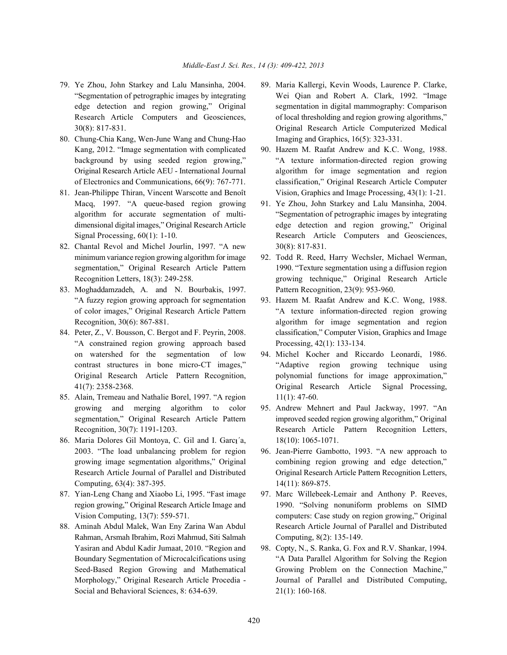- 
- 80. Chung-Chia Kang, Wen-June Wang and Chung-Hao Imaging and Graphics, 16(5): 323-331. Kang, 2012. "Image segmentation with complicated 90. Hazem M. Raafat Andrew and K.C. Wong, 1988.
- Macq, 1997. "A queue-based region growing 91. Ye Zhou, John Starkey and Lalu Mansinha, 2004.
- 82. Chantal Revol and Michel Jourlin, 1997. "A new 30(8): 817-831.
- 83. Moghaddamzadeh, A. and N. Bourbakis, 1997. Pattern Recognition, 23(9): 953-960. "A fuzzy region growing approach for segmentation 93. Hazem M. Raafat Andrew and K.C. Wong, 1988.
- "A constrained region growing approach based Processing, 42(1): 133-134. on watershed for the segmentation of low 94. Michel Kocher and Riccardo Leonardi, 1986.
- 85. Alain, Tremeau and Nathalie Borel, 1997. "A region 11(1): 47-60.
- 86. Maria Dolores Gil Montoya, C. Gil and I. Garca<sup>'</sup>a, 18(10): 1065-1071. 2003. "The load unbalancing problem for region 96. Jean-Pierre Gambotto, 1993. "A new approach to Computing, 63(4): 387-395. 14(11): 869-875.
- 
- Rahman, Arsmah Ibrahim, Rozi Mahmud, Siti Salmah Computing, 8(2): 135-149. Yasiran and Abdul Kadir Jumaat, 2010. "Region and 98. Copty, N., S. Ranka, G. Fox and R.V. Shankar, 1994. Social and Behavioral Sciences, 8: 634-639. 21(1): 160-168.
- 79. Ye Zhou, John Starkey and Lalu Mansinha, 2004. 89. Maria Kallergi, Kevin Woods, Laurence P. Clarke, "Segmentation of petrographic images by integrating Wei Qian and Robert A. Clark, 1992. "Image edge detection and region growing," Original segmentation in digital mammography: Comparison Research Article Computers and Geosciences, of local thresholding and region growing algorithms," 30(8): 817-831. Original Research Article Computerized Medical
- background by using seeded region growing," "A texture information-directed region growing Original Research Article AEU - International Journal algorithm for image segmentation and region of Electronics and Communications, 66(9): 767-771. classification," Original Research Article Computer 81. Jean-Philippe Thiran, Vincent Warscotte and Benoît Vision, Graphics and Image Processing, 43(1): 1-21.
	- algorithm for accurate segmentation of multi- "Segmentation of petrographic images by integrating dimensional digital images," Original Research Article edge detection and region growing," Original Signal Processing,  $60(1)$ : 1-10. Research Article Computers and Geosciences,
	- minimum variance region growing algorithm for image 92. Todd R. Reed, Harry Wechsler, Michael Werman, segmentation," Original Research Article Pattern 1990. "Texture segmentation using a diffusion region Recognition Letters, 18(3): 249-258. growing technique," Original Research Article
- of color images," Original Research Article Pattern "A texture information-directed region growing Recognition, 30(6): 867-881. **algorithm** for image segmentation and region 84. Peter, Z., V. Bousson, C. Bergot and F. Peyrin, 2008. classification," Computer Vision, Graphics and Image
	- contrast structures in bone micro-CT images," "Adaptive region growing technique using Original Research Article Pattern Recognition, polynomial functions for image approximation," 41(7): 2358-2368. Original Research Article Signal Processing,
	- growing and merging algorithm to color 95. Andrew Mehnert and Paul Jackway, 1997. "An segmentation," Original Research Article Pattern improved seeded region growing algorithm," Original Recognition, 30(7): 1191-1203. Research Article Pattern Recognition Letters,
	- growing image segmentation algorithms," Original combining region growing and edge detection," Research Article Journal of Parallel and Distributed Original Research Article Pattern Recognition Letters,
- 87. Yian-Leng Chang and Xiaobo Li, 1995. "Fast image 97. Marc Willebeek-Lemair and Anthony P. Reeves, region growing," Original Research Article Image and 1990. "Solving nonuniform problems on SIMD Vision Computing, 13(7): 559-571. computers: Case study on region growing," Original 88. Aminah Abdul Malek, Wan Eny Zarina Wan Abdul Research Article Journal of Parallel and Distributed
	- Boundary Segmentation of Microcalcifications using "A Data Parallel Algorithm for Solving the Region Seed-Based Region Growing and Mathematical Growing Problem on the Connection Machine," Morphology," Original Research Article Procedia - Journal of Parallel and Distributed Computing,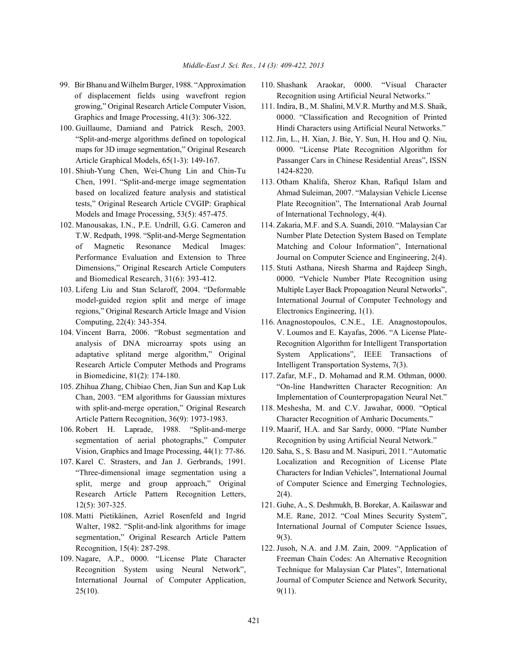- of displacement fields using wavefront region Recognition using Artificial Neural Networks." growing," Original Research Article Computer Vision, 111. Indira, B., M. Shalini, M.V.R. Murthy and M.S. Shaik,
- "Split-and-merge algorithms defined on topological 112. Jin, L., H. Xian, J. Bie, Y. Sun, H. Hou and Q. Niu,
- 101. Shiuh-Yung Chen, Wei-Chung Lin and Chin-Tu 1424-8220. Chen, 1991. "Split-and-merge image segmentation 113. Otham Khalifa, Sheroz Khan, Rafiqul Islam and Models and Image Processing, 53(5): 457-475. of International Technology, 4(4).
- Dimensions," Original Research Article Computers 115. Stuti Asthana, Niresh Sharma and Rajdeep Singh,
- regions," Original Research Article Image and Vision Electronics Engineering, 1(1). Computing, 22(4): 343-354. 116. Anagnostopoulos, C.N.E., I.E. Anagnostopoulos,
- Research Article Computer Methods and Programs Intelligent Transportation Systems, 7(3).
- with split-and-merge operation," Original Research 118. Meshesha, M. and C.V. Jawahar, 0000. "Optical
- 106. Robert H. Laprade, 1988. "Split-and-merge 119. Maarif, H.A. and Sar Sardy, 0000. "Plate Number Vision, Graphics and Image Processing, 44(1): 77-86. 120. Saha, S., S. Basu and M. Nasipuri, 2011. "Automatic
- Research Article Pattern Recognition Letters, 2(4). 12(5): 307-325. 121. Guhe, A., S. Deshmukh, B. Borekar, A. Kailaswar and
- segmentation," Original Research Article Pattern 9(3).
- $25(10).$  9(11).
- 99. Bir Bhanu and Wilhelm Burger, 1988. "Approximation 110. Shashank Araokar, 0000. "Visual Character
- Graphics and Image Processing, 41(3): 306-322. 0000. "Classification and Recognition of Printed 100. Guillaume, Damiand and Patrick Resch, 2003. Hindi Characters using Artificial Neural Networks."
	- maps for 3D image segmentation," Original Research 0000. "License Plate Recognition Algorithm for Article Graphical Models, 65(1-3): 149-167. Passanger Cars in Chinese Residential Areas", ISSN
	- based on localized feature analysis and statistical Ahmad Suleiman, 2007. "Malaysian Vehicle License tests," Original Research Article CVGIP: Graphical Plate Recognition", The International Arab Journal
- 102. Manousakas, I.N., P.E. Undrill, G.G. Cameron and 114. Zakaria, M.F. and S.A. Suandi, 2010. "Malaysian Car T.W. Redpath, 1998. "Split-and-Merge Segmentation Number Plate Detection System Based on Template of Magnetic Resonance Medical Images: Matching and Colour Information", International Performance Evaluation and Extension to Three Journal on Computer Science and Engineering, 2(4).
- and Biomedical Research, 31(6): 393-412. 0000. "Vehicle Number Plate Recognition using 103. Lifeng Liu and Stan Sclaroff, 2004. "Deformable Multiple Layer Back Propoagation Neural Networks", model-guided region split and merge of image International Journal of Computer Technology and
- 104. Vincent Barra, 2006. "Robust segmentation and V. Loumos and E. Kayafas, 2006. "A License Plateanalysis of DNA microarray spots using an Recognition Algorithm for Intelligent Transportation adaptative splitand merge algorithm," Original System Applications", IEEE Transactions of
- in Biomedicine, 81(2): 174-180. 117. Zafar, M.F., D. Mohamad and R.M. Othman, 0000. 105. Zhihua Zhang, Chibiao Chen, Jian Sun and Kap Luk "On-line Handwritten Character Recognition: An Chan, 2003. "EM algorithms for Gaussian mixtures Implementation of Counterpropagation Neural Net."
	- Article Pattern Recognition, 36(9): 1973-1983. Character Recognition of Amharic Documents."
	- segmentation of aerial photographs," Computer Recognition by using Artificial Neural Network."
- 107. Karel C. Strasters, and Jan J. Gerbrands, 1991. Localization and Recognition of License Plate "Three-dimensional image segmentation using a Characters for Indian Vehicles", International Journal split, merge and group approach," Original of Computer Science and Emerging Technologies,
- 108. Matti Pietikäinen, Azriel Rosenfeld and Ingrid M.E. Rane, 2012. "Coal Mines Security System", Walter, 1982. "Split-and-link algorithms for image International Journal of Computer Science Issues,
- Recognition, 15(4): 287-298. 122. Jusoh, N.A. and J.M. Zain, 2009. "Application of 109. Nagare, A.P., 0000. "License Plate Character Freeman Chain Codes: An Alternative Recognition Recognition System using Neural Network", Technique for Malaysian Car Plates", International International Journal of Computer Application, Journal of Computer Science and Network Security,